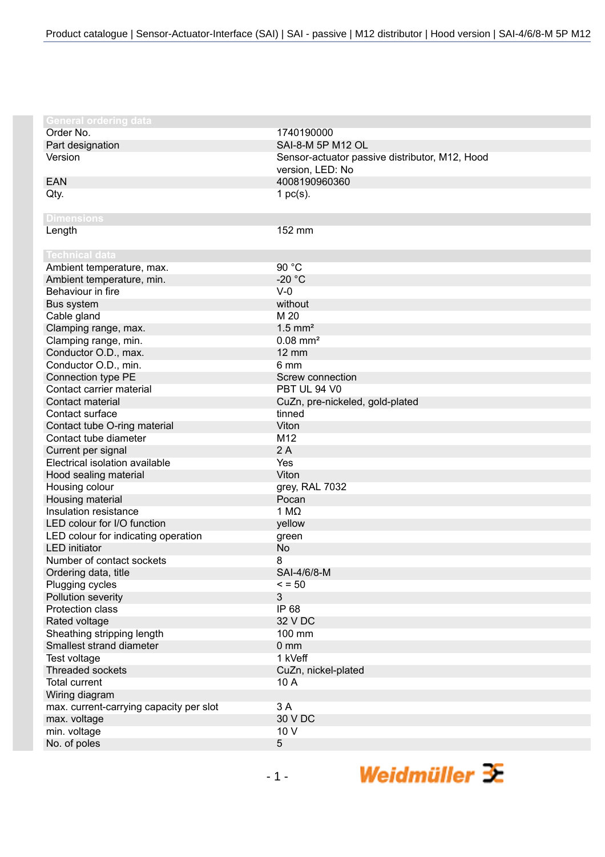| <b>General ordering data</b>            |                                                |
|-----------------------------------------|------------------------------------------------|
| Order No.                               | 1740190000                                     |
| Part designation                        | SAI-8-M 5P M12 OL                              |
| Version                                 | Sensor-actuator passive distributor, M12, Hood |
|                                         | version, LED: No                               |
| <b>EAN</b>                              | 4008190960360                                  |
| Qty.                                    | 1 $pc(s)$ .                                    |
|                                         |                                                |
| <b>Dimensions</b>                       |                                                |
| Length                                  | 152 mm                                         |
|                                         |                                                |
| <b>Technical data</b>                   |                                                |
| Ambient temperature, max.               | 90 °C                                          |
| Ambient temperature, min.               | $-20 °C$                                       |
| Behaviour in fire                       | $V-0$                                          |
| Bus system                              | without                                        |
| Cable gland                             | M 20                                           |
| Clamping range, max.                    | $1.5$ mm <sup>2</sup>                          |
| Clamping range, min.                    | $0.08$ mm <sup>2</sup>                         |
| Conductor O.D., max.                    | <b>12 mm</b>                                   |
| Conductor O.D., min.                    | 6 mm                                           |
| Connection type PE                      | Screw connection                               |
| Contact carrier material                | PBT UL 94 V0                                   |
| Contact material                        | CuZn, pre-nickeled, gold-plated                |
| Contact surface                         | tinned                                         |
| Contact tube O-ring material            | Viton                                          |
| Contact tube diameter                   | M <sub>12</sub>                                |
| Current per signal                      | 2A                                             |
| Electrical isolation available          | Yes                                            |
| Hood sealing material                   | Viton                                          |
| Housing colour                          | grey, RAL 7032                                 |
| Housing material                        | Pocan                                          |
| Insulation resistance                   | 1 M $\Omega$                                   |
| LED colour for I/O function             | yellow                                         |
| LED colour for indicating operation     | green                                          |
| <b>LED</b> initiator                    | <b>No</b>                                      |
| Number of contact sockets               | 8                                              |
| Ordering data, title                    | SAI-4/6/8-M                                    |
| Plugging cycles                         | $\le$ = 50                                     |
| Pollution severity                      | 3                                              |
| <b>Protection class</b>                 | IP 68                                          |
| Rated voltage                           | 32 V DC                                        |
| Sheathing stripping length              | 100 mm                                         |
| Smallest strand diameter                | 0 <sub>mm</sub>                                |
| Test voltage                            | 1 kVeff                                        |
| <b>Threaded sockets</b>                 | CuZn, nickel-plated                            |
| <b>Total current</b>                    | 10 A                                           |
| Wiring diagram                          |                                                |
| max. current-carrying capacity per slot | 3A                                             |
| max. voltage                            | 30 V DC                                        |
| min. voltage                            | 10 V                                           |
| No. of poles                            | 5                                              |
|                                         |                                                |

Weidmüller  $\mathcal{\mathcal{F}}$